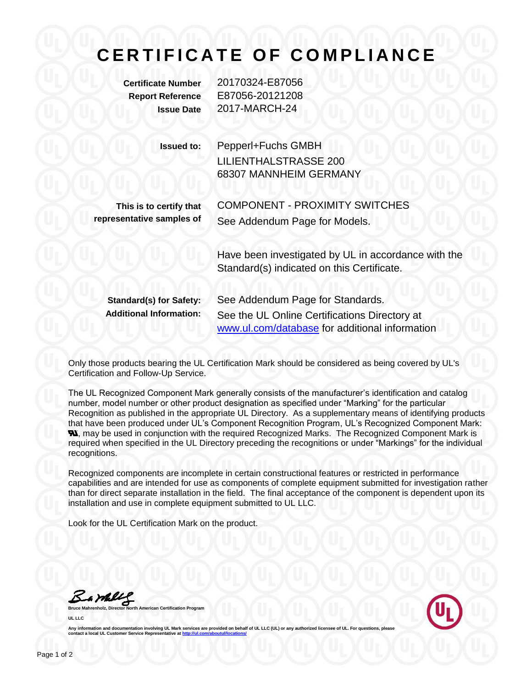## **C E R T I F I C A T E O F C O M P L I A N C E**

**Certificate Number** 20170324-E87056 **Report Reference** E87056-20121208 **Issue Date** 2017-MARCH-24

| Issued to: | Pepperl+Fuchs GMBH           |
|------------|------------------------------|
|            | <b>LILIENTHALSTRASSE 200</b> |
|            | 68307 MANNHEIM GERMANY       |

**This is to certify that representative samples of**

COMPONENT - PROXIMITY SWITCHES See Addendum Page for Models.

Have been investigated by UL in accordance with the Standard(s) indicated on this Certificate.

**Standard(s) for Safety:** See Addendum Page for Standards. **Additional Information:** See the UL Online Certifications Directory at [www.ul.com/database](http://www.ul.com/database) for additional information

Only those products bearing the UL Certification Mark should be considered as being covered by UL's Certification and Follow-Up Service.

The UL Recognized Component Mark generally consists of the manufacturer's identification and catalog number, model number or other product designation as specified under "Marking" for the particular Recognition as published in the appropriate UL Directory. As a supplementary means of identifying products that have been produced under UL's Component Recognition Program, UL's Recognized Component Mark: **N.** may be used in conjunction with the required Recognized Marks. The Recognized Component Mark is required when specified in the UL Directory preceding the recognitions or under "Markings" for the individual recognitions.

Recognized components are incomplete in certain constructional features or restricted in performance capabilities and are intended for use as components of complete equipment submitted for investigation rather than for direct separate installation in the field. The final acceptance of the component is dependent upon its installation and use in complete equipment submitted to UL LLC.

Look for the UL Certification Mark on the product.

Barbles

**Bruce Mannest Certification Program UL LLC**



Any information and documentation involving UL Mark services are provided on behalf of UL LLC (UL) or any authorized licensee of UL. For questions, please<br>contact a local UL Customer Service Representative at <u>http://ul.co</u>